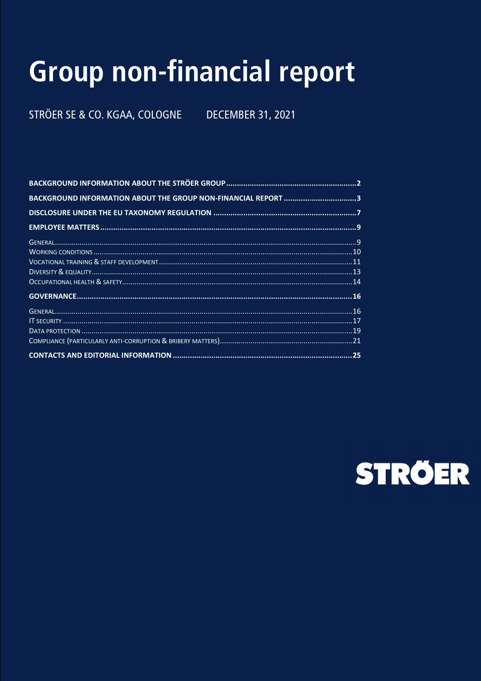# **Group non-financial report**

STRÖER SE & CO. KGAA, COLOGNE **DECEMBER 31, 2021** 

| BACKGROUND INFORMATION ABOUT THE GROUP NON-FINANCIAL REPORT 3 |
|---------------------------------------------------------------|
|                                                               |
|                                                               |
|                                                               |
|                                                               |
|                                                               |
|                                                               |
|                                                               |
|                                                               |
|                                                               |
|                                                               |
|                                                               |
|                                                               |
|                                                               |

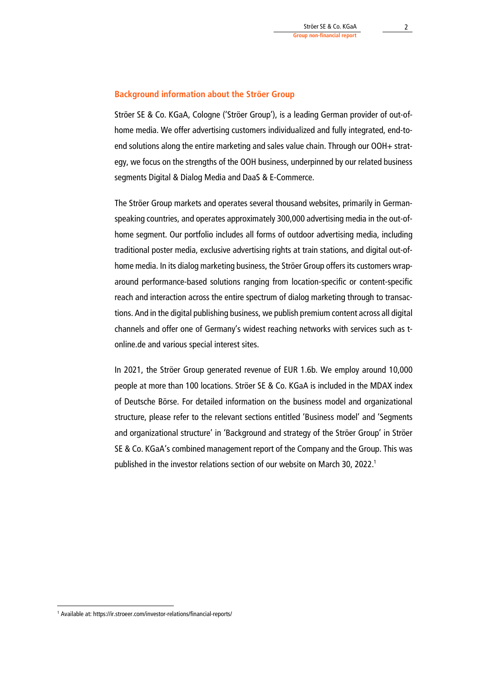## **Background information about the Ströer Group**

Ströer SE & Co. KGaA, Cologne ('Ströer Group'), is a leading German provider of out-ofhome media. We offer advertising customers individualized and fully integrated, end-toend solutions along the entire marketing and sales value chain. Through our OOH+ strategy, we focus on the strengths of the OOH business, underpinned by our related business segments Digital & Dialog Media and DaaS & E-Commerce.

The Ströer Group markets and operates several thousand websites, primarily in Germanspeaking countries, and operates approximately 300,000 advertising media in the out-ofhome segment. Our portfolio includes all forms of outdoor advertising media, including traditional poster media, exclusive advertising rights at train stations, and digital out-ofhome media. In its dialog marketing business, the Ströer Group offers its customers wraparound performance-based solutions ranging from location-specific or content-specific reach and interaction across the entire spectrum of dialog marketing through to transactions. And in the digital publishing business, we publish premium content across all digital channels and offer one of Germany's widest reaching networks with services such as tonline.de and various special interest sites.

In 2021, the Ströer Group generated revenue of EUR 1.6b. We employ around 10,000 people at more than 100 locations. Ströer SE & Co. KGaA is included in the MDAX index of Deutsche Börse. For detailed information on the business model and organizational structure, please refer to the relevant sections entitled 'Business model' and 'Segments and organizational structure' in 'Background and strategy of the Ströer Group' in Ströer SE & Co. KGaA's combined management report of the Company and the Group. This was published in the investor relations section of our website on March 30, 2022.<sup>1</sup>

<sup>1</sup> Available at: https://ir.stroeer.com/investor-relations/financial-reports/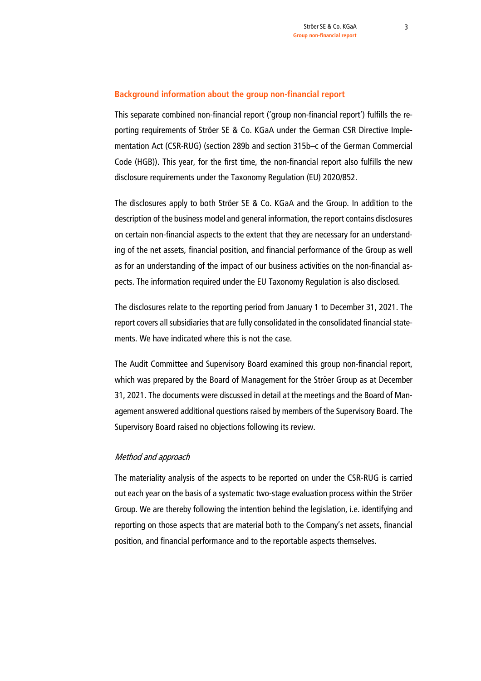# **Background information about the group non-financial report**

This separate combined non-financial report ('group non-financial report') fulfills the reporting requirements of Ströer SE & Co. KGaA under the German CSR Directive Implementation Act (CSR-RUG) (section 289b and section 315b–c of the German Commercial Code (HGB)). This year, for the first time, the non-financial report also fulfills the new disclosure requirements under the Taxonomy Regulation (EU) 2020/852.

The disclosures apply to both Ströer SE & Co. KGaA and the Group. In addition to the description of the business model and general information, the report contains disclosures on certain non-financial aspects to the extent that they are necessary for an understanding of the net assets, financial position, and financial performance of the Group as well as for an understanding of the impact of our business activities on the non-financial aspects. The information required under the EU Taxonomy Regulation is also disclosed.

The disclosures relate to the reporting period from January 1 to December 31, 2021. The report covers all subsidiaries that are fully consolidated in the consolidated financial statements. We have indicated where this is not the case.

The Audit Committee and Supervisory Board examined this group non-financial report, which was prepared by the Board of Management for the Ströer Group as at December 31, 2021. The documents were discussed in detail at the meetings and the Board of Management answered additional questions raised by members of the Supervisory Board. The Supervisory Board raised no objections following its review.

# Method and approach

The materiality analysis of the aspects to be reported on under the CSR-RUG is carried out each year on the basis of a systematic two-stage evaluation process within the Ströer Group. We are thereby following the intention behind the legislation, i.e. identifying and reporting on those aspects that are material both to the Company's net assets, financial position, and financial performance and to the reportable aspects themselves.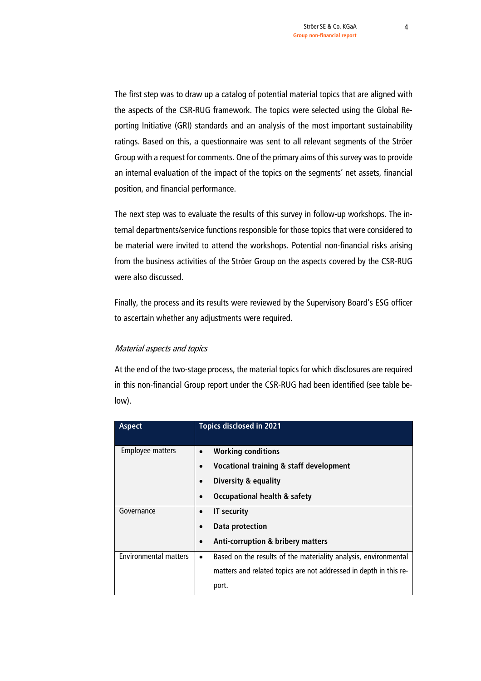The first step was to draw up a catalog of potential material topics that are aligned with the aspects of the CSR-RUG framework. The topics were selected using the Global Reporting Initiative (GRI) standards and an analysis of the most important sustainability ratings. Based on this, a questionnaire was sent to all relevant segments of the Ströer Group with a request for comments. One of the primary aims of this survey was to provide an internal evaluation of the impact of the topics on the segments' net assets, financial position, and financial performance.

The next step was to evaluate the results of this survey in follow-up workshops. The internal departments/service functions responsible for those topics that were considered to be material were invited to attend the workshops. Potential non-financial risks arising from the business activities of the Ströer Group on the aspects covered by the CSR-RUG were also discussed.

Finally, the process and its results were reviewed by the Supervisory Board's ESG officer to ascertain whether any adjustments were required.

# Material aspects and topics

At the end of the two-stage process, the material topics for which disclosures are required in this non-financial Group report under the CSR-RUG had been identified (see table below).

| <b>Aspect</b>                |           | <b>Topics disclosed in 2021</b>                                   |  |  |
|------------------------------|-----------|-------------------------------------------------------------------|--|--|
| <b>Employee matters</b>      |           | <b>Working conditions</b>                                         |  |  |
|                              | $\bullet$ | Vocational training & staff development                           |  |  |
|                              |           | <b>Diversity &amp; equality</b>                                   |  |  |
|                              | $\bullet$ | <b>Occupational health &amp; safety</b>                           |  |  |
| Governance                   |           | <b>IT security</b><br><b>Data protection</b><br>٠                 |  |  |
|                              |           |                                                                   |  |  |
|                              | $\bullet$ | <b>Anti-corruption &amp; bribery matters</b>                      |  |  |
| <b>Environmental matters</b> | $\bullet$ | Based on the results of the materiality analysis, environmental   |  |  |
|                              |           | matters and related topics are not addressed in depth in this re- |  |  |
|                              |           | port.                                                             |  |  |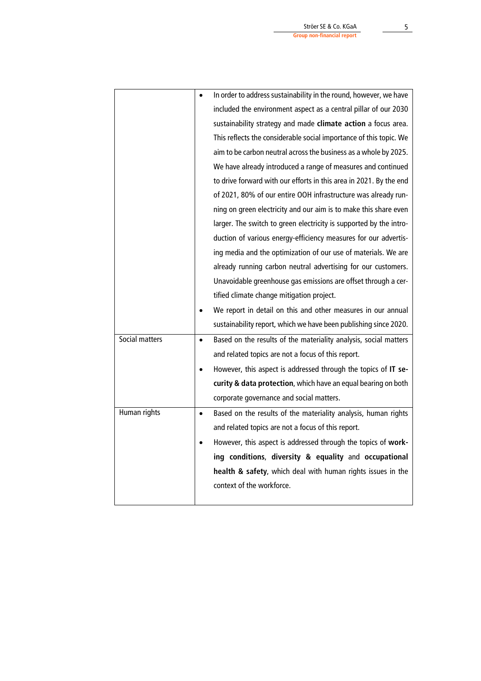|                |           | In order to address sustainability in the round, however, we have  |  |  |
|----------------|-----------|--------------------------------------------------------------------|--|--|
|                |           | included the environment aspect as a central pillar of our 2030    |  |  |
|                |           | sustainability strategy and made climate action a focus area.      |  |  |
|                |           | This reflects the considerable social importance of this topic. We |  |  |
|                |           | aim to be carbon neutral across the business as a whole by 2025.   |  |  |
|                |           | We have already introduced a range of measures and continued       |  |  |
|                |           | to drive forward with our efforts in this area in 2021. By the end |  |  |
|                |           | of 2021, 80% of our entire OOH infrastructure was already run-     |  |  |
|                |           | ning on green electricity and our aim is to make this share even   |  |  |
|                |           | larger. The switch to green electricity is supported by the intro- |  |  |
|                |           | duction of various energy-efficiency measures for our advertis-    |  |  |
|                |           | ing media and the optimization of our use of materials. We are     |  |  |
|                |           | already running carbon neutral advertising for our customers.      |  |  |
|                |           | Unavoidable greenhouse gas emissions are offset through a cer-     |  |  |
|                |           | tified climate change mitigation project.                          |  |  |
|                |           | We report in detail on this and other measures in our annual       |  |  |
|                |           | sustainability report, which we have been publishing since 2020.   |  |  |
| Social matters | $\bullet$ | Based on the results of the materiality analysis, social matters   |  |  |
|                |           | and related topics are not a focus of this report.                 |  |  |
|                |           | However, this aspect is addressed through the topics of IT se-     |  |  |
|                |           | curity & data protection, which have an equal bearing on both      |  |  |
|                |           | corporate governance and social matters.                           |  |  |
| Human rights   | $\bullet$ | Based on the results of the materiality analysis, human rights     |  |  |
|                |           | and related topics are not a focus of this report.                 |  |  |
|                |           | However, this aspect is addressed through the topics of work-      |  |  |
|                |           | ing conditions, diversity & equality and occupational              |  |  |
|                |           | health & safety, which deal with human rights issues in the        |  |  |
|                |           | context of the workforce.                                          |  |  |
|                |           |                                                                    |  |  |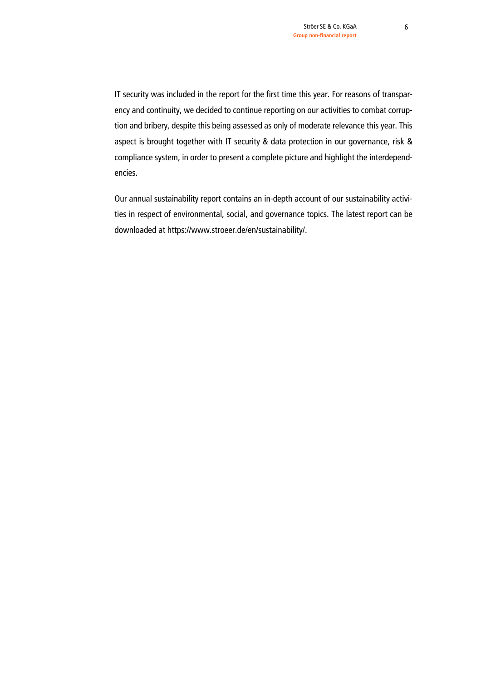IT security was included in the report for the first time this year. For reasons of transparency and continuity, we decided to continue reporting on our activities to combat corruption and bribery, despite this being assessed as only of moderate relevance this year. This aspect is brought together with IT security & data protection in our governance, risk & compliance system, in order to present a complete picture and highlight the interdependencies.

Our annual sustainability report contains an in-depth account of our sustainability activities in respect of environmental, social, and governance topics. The latest report can be downloaded at https://www.stroeer.de/en/sustainability/.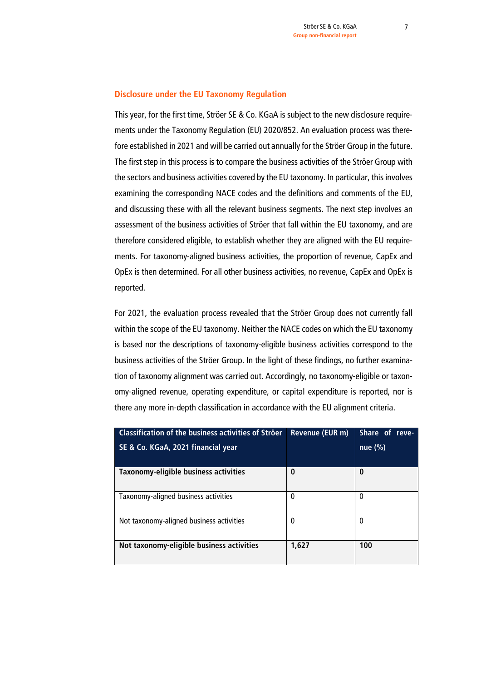# **Disclosure under the EU Taxonomy Regulation**

This year, for the first time, Ströer SE & Co. KGaA is subject to the new disclosure requirements under the Taxonomy Regulation (EU) 2020/852. An evaluation process was therefore established in 2021 and will be carried out annually for the Ströer Group in the future. The first step in this process is to compare the business activities of the Ströer Group with the sectors and business activities covered by the EU taxonomy. In particular, this involves examining the corresponding NACE codes and the definitions and comments of the EU, and discussing these with all the relevant business segments. The next step involves an assessment of the business activities of Ströer that fall within the EU taxonomy, and are therefore considered eligible, to establish whether they are aligned with the EU requirements. For taxonomy-aligned business activities, the proportion of revenue, CapEx and OpEx is then determined. For all other business activities, no revenue, CapEx and OpEx is reported.

For 2021, the evaluation process revealed that the Ströer Group does not currently fall within the scope of the EU taxonomy. Neither the NACE codes on which the EU taxonomy is based nor the descriptions of taxonomy-eligible business activities correspond to the business activities of the Ströer Group. In the light of these findings, no further examination of taxonomy alignment was carried out. Accordingly, no taxonomy-eligible or taxonomy-aligned revenue, operating expenditure, or capital expenditure is reported, nor is there any more in-depth classification in accordance with the EU alignment criteria.

| <b>Classification of the business activities of Ströer</b> | Revenue (EUR m) | Share of reve- |
|------------------------------------------------------------|-----------------|----------------|
| SE & Co. KGaA, 2021 financial year                         |                 | nue (%)        |
| Taxonomy-eligible business activities                      | 0               | 0              |
| Taxonomy-aligned business activities                       | 0               | $\Omega$       |
| Not taxonomy-aligned business activities                   | $\mathbf 0$     | $\Omega$       |
| Not taxonomy-eligible business activities                  | 1,627           | 100            |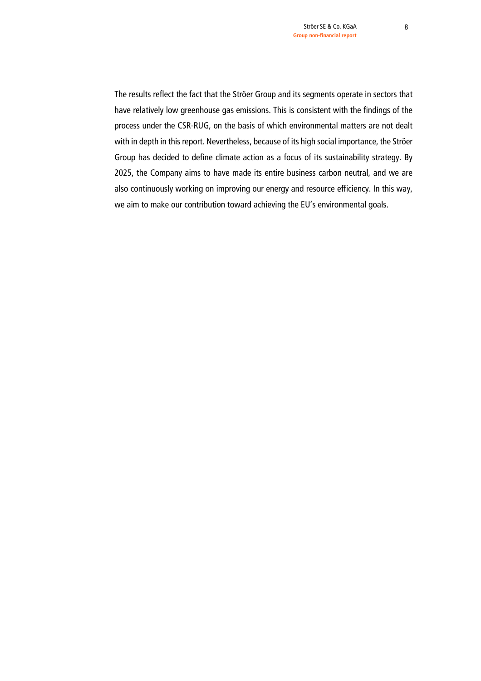The results reflect the fact that the Ströer Group and its segments operate in sectors that have relatively low greenhouse gas emissions. This is consistent with the findings of the process under the CSR-RUG, on the basis of which environmental matters are not dealt with in depth in this report. Nevertheless, because of its high social importance, the Ströer Group has decided to define climate action as a focus of its sustainability strategy. By 2025, the Company aims to have made its entire business carbon neutral, and we are also continuously working on improving our energy and resource efficiency. In this way, we aim to make our contribution toward achieving the EU's environmental goals.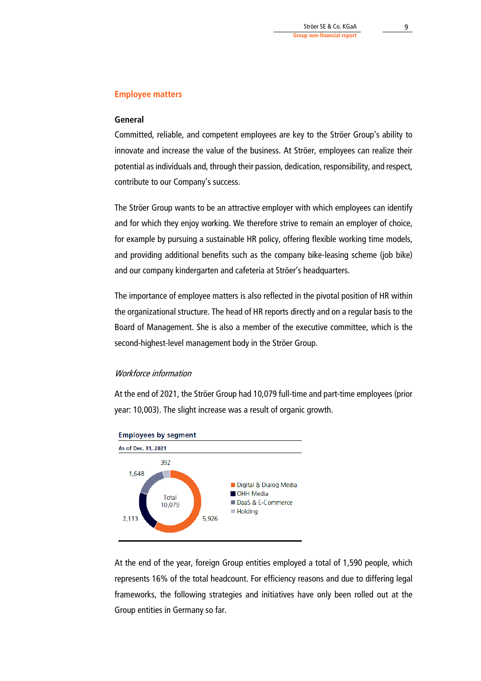# **Employee matters**

# **General**

Committed, reliable, and competent employees are key to the Ströer Group's ability to innovate and increase the value of the business. At Ströer, employees can realize their potential as individuals and, through their passion, dedication, responsibility, and respect, contribute to our Company's success.

The Ströer Group wants to be an attractive employer with which employees can identify and for which they enjoy working. We therefore strive to remain an employer of choice, for example by pursuing a sustainable HR policy, offering flexible working time models, and providing additional benefits such as the company bike-leasing scheme (job bike) and our company kindergarten and cafeteria at Ströer's headquarters.

The importance of employee matters is also reflected in the pivotal position of HR within the organizational structure. The head of HR reports directly and on a regular basis to the Board of Management. She is also a member of the executive committee, which is the second-highest-level management body in the Ströer Group.

#### Workforce information

At the end of 2021, the Ströer Group had 10,079 full-time and part-time employees (prior year: 10,003). The slight increase was a result of organic growth.



At the end of the year, foreign Group entities employed a total of 1,590 people, which represents 16% of the total headcount. For efficiency reasons and due to differing legal frameworks, the following strategies and initiatives have only been rolled out at the Group entities in Germany so far.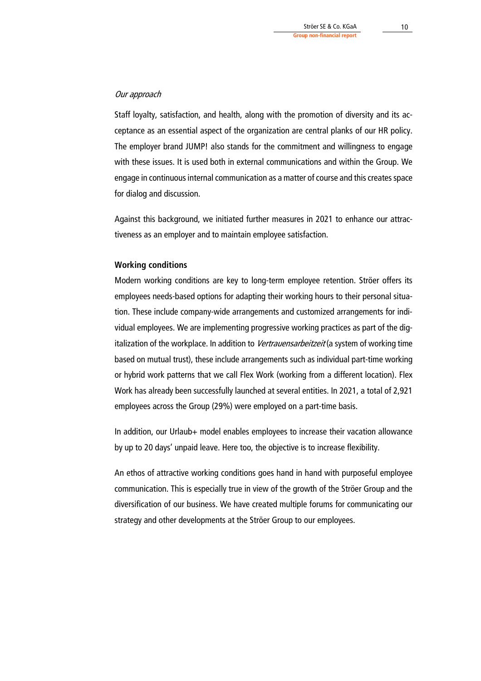#### Our approach

Staff loyalty, satisfaction, and health, along with the promotion of diversity and its acceptance as an essential aspect of the organization are central planks of our HR policy. The employer brand JUMP! also stands for the commitment and willingness to engage with these issues. It is used both in external communications and within the Group. We engage in continuous internal communication as a matter of course and this creates space for dialog and discussion.

Against this background, we initiated further measures in 2021 to enhance our attractiveness as an employer and to maintain employee satisfaction.

# **Working conditions**

Modern working conditions are key to long-term employee retention. Ströer offers its employees needs-based options for adapting their working hours to their personal situation. These include company-wide arrangements and customized arrangements for individual employees. We are implementing progressive working practices as part of the digitalization of the workplace. In addition to Vertrauensarbeitzeit (a system of working time based on mutual trust), these include arrangements such as individual part-time working or hybrid work patterns that we call Flex Work (working from a different location). Flex Work has already been successfully launched at several entities. In 2021, a total of 2,921 employees across the Group (29%) were employed on a part-time basis.

In addition, our Urlaub+ model enables employees to increase their vacation allowance by up to 20 days' unpaid leave. Here too, the objective is to increase flexibility.

An ethos of attractive working conditions goes hand in hand with purposeful employee communication. This is especially true in view of the growth of the Ströer Group and the diversification of our business. We have created multiple forums for communicating our strategy and other developments at the Ströer Group to our employees.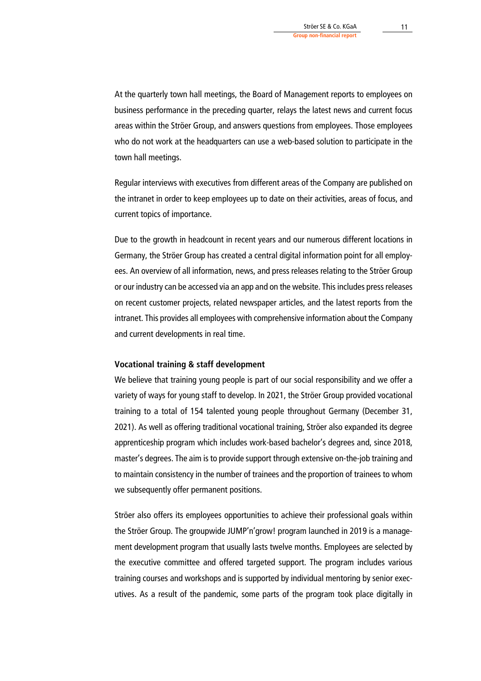At the quarterly town hall meetings, the Board of Management reports to employees on business performance in the preceding quarter, relays the latest news and current focus areas within the Ströer Group, and answers questions from employees. Those employees who do not work at the headquarters can use a web-based solution to participate in the town hall meetings.

Regular interviews with executives from different areas of the Company are published on the intranet in order to keep employees up to date on their activities, areas of focus, and current topics of importance.

Due to the growth in headcount in recent years and our numerous different locations in Germany, the Ströer Group has created a central digital information point for all employees. An overview of all information, news, and press releases relating to the Ströer Group or our industry can be accessed via an app and on the website. This includes press releases on recent customer projects, related newspaper articles, and the latest reports from the intranet. This provides all employees with comprehensive information about the Company and current developments in real time.

# **Vocational training & staff development**

We believe that training young people is part of our social responsibility and we offer a variety of ways for young staff to develop. In 2021, the Ströer Group provided vocational training to a total of 154 talented young people throughout Germany (December 31, 2021). As well as offering traditional vocational training, Ströer also expanded its degree apprenticeship program which includes work-based bachelor's degrees and, since 2018, master's degrees. The aim is to provide support through extensive on-the-job training and to maintain consistency in the number of trainees and the proportion of trainees to whom we subsequently offer permanent positions.

Ströer also offers its employees opportunities to achieve their professional goals within the Ströer Group. The groupwide JUMP'n'grow! program launched in 2019 is a management development program that usually lasts twelve months. Employees are selected by the executive committee and offered targeted support. The program includes various training courses and workshops and is supported by individual mentoring by senior executives. As a result of the pandemic, some parts of the program took place digitally in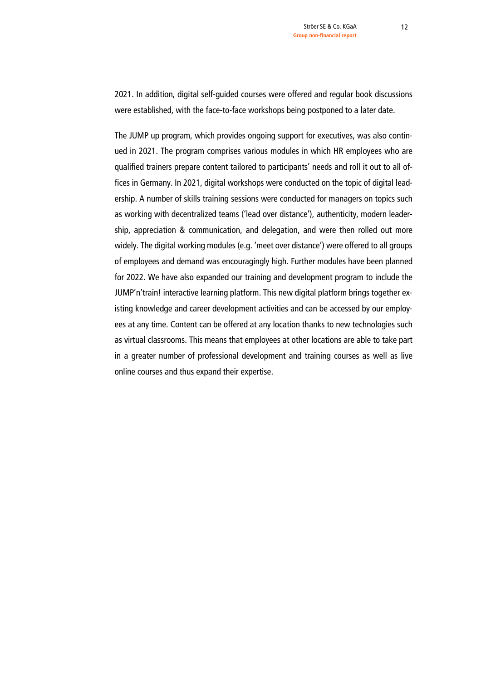2021. In addition, digital self-guided courses were offered and regular book discussions were established, with the face-to-face workshops being postponed to a later date.

The JUMP up program, which provides ongoing support for executives, was also continued in 2021. The program comprises various modules in which HR employees who are qualified trainers prepare content tailored to participants' needs and roll it out to all offices in Germany. In 2021, digital workshops were conducted on the topic of digital leadership. A number of skills training sessions were conducted for managers on topics such as working with decentralized teams ('lead over distance'), authenticity, modern leadership, appreciation & communication, and delegation, and were then rolled out more widely. The digital working modules (e.g. 'meet over distance') were offered to all groups of employees and demand was encouragingly high. Further modules have been planned for 2022. We have also expanded our training and development program to include the JUMP'n'train! interactive learning platform. This new digital platform brings together existing knowledge and career development activities and can be accessed by our employees at any time. Content can be offered at any location thanks to new technologies such as virtual classrooms. This means that employees at other locations are able to take part in a greater number of professional development and training courses as well as live online courses and thus expand their expertise.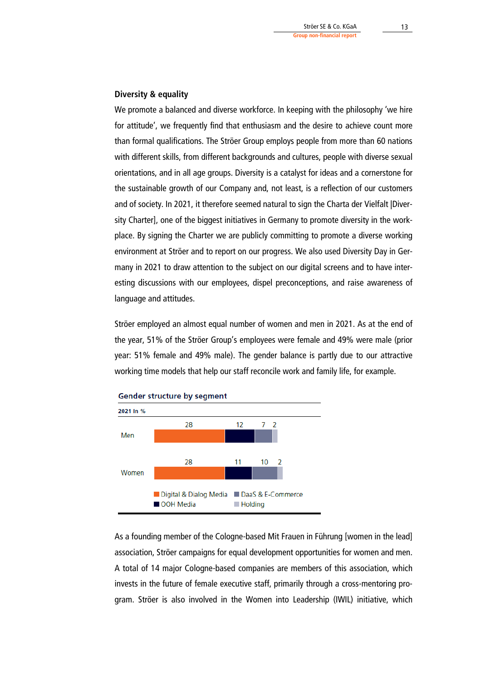# **Diversity & equality**

We promote a balanced and diverse workforce. In keeping with the philosophy 'we hire for attitude', we frequently find that enthusiasm and the desire to achieve count more than formal qualifications. The Ströer Group employs people from more than 60 nations with different skills, from different backgrounds and cultures, people with diverse sexual orientations, and in all age groups. Diversity is a catalyst for ideas and a cornerstone for the sustainable growth of our Company and, not least, is a reflection of our customers and of society. In 2021, it therefore seemed natural to sign the Charta der Vielfalt |Diversity Charter], one of the biggest initiatives in Germany to promote diversity in the workplace. By signing the Charter we are publicly committing to promote a diverse working environment at Ströer and to report on our progress. We also used Diversity Day in Germany in 2021 to draw attention to the subject on our digital screens and to have interesting discussions with our employees, dispel preconceptions, and raise awareness of language and attitudes.

Ströer employed an almost equal number of women and men in 2021. As at the end of the year, 51% of the Ströer Group's employees were female and 49% were male (prior year: 51% female and 49% male). The gender balance is partly due to our attractive working time models that help our staff reconcile work and family life, for example.



As a founding member of the Cologne-based Mit Frauen in Führung [women in the lead] association, Ströer campaigns for equal development opportunities for women and men. A total of 14 major Cologne-based companies are members of this association, which invests in the future of female executive staff, primarily through a cross-mentoring program. Ströer is also involved in the Women into Leadership (IWIL) initiative, which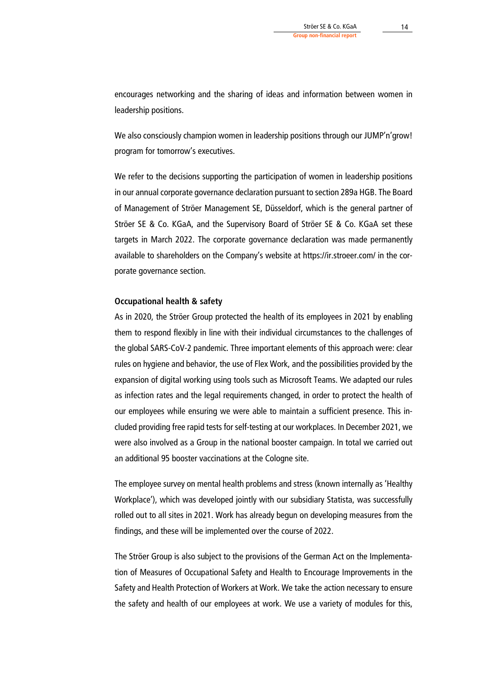encourages networking and the sharing of ideas and information between women in leadership positions.

We also consciously champion women in leadership positions through our JUMP'n'grow! program for tomorrow's executives.

We refer to the decisions supporting the participation of women in leadership positions in our annual corporate governance declaration pursuant to section 289a HGB. The Board of Management of Ströer Management SE, Düsseldorf, which is the general partner of Ströer SE & Co. KGaA, and the Supervisory Board of Ströer SE & Co. KGaA set these targets in March 2022. The corporate governance declaration was made permanently available to shareholders on the Company's website at https://ir.stroeer.com/ in the corporate governance section.

#### **Occupational health & safety**

As in 2020, the Ströer Group protected the health of its employees in 2021 by enabling them to respond flexibly in line with their individual circumstances to the challenges of the global SARS-CoV-2 pandemic. Three important elements of this approach were: clear rules on hygiene and behavior, the use of Flex Work, and the possibilities provided by the expansion of digital working using tools such as Microsoft Teams. We adapted our rules as infection rates and the legal requirements changed, in order to protect the health of our employees while ensuring we were able to maintain a sufficient presence. This included providing free rapid tests for self-testing at our workplaces. In December 2021, we were also involved as a Group in the national booster campaign. In total we carried out an additional 95 booster vaccinations at the Cologne site.

The employee survey on mental health problems and stress (known internally as 'Healthy Workplace'), which was developed jointly with our subsidiary Statista, was successfully rolled out to all sites in 2021. Work has already begun on developing measures from the findings, and these will be implemented over the course of 2022.

The Ströer Group is also subject to the provisions of the German Act on the Implementation of Measures of Occupational Safety and Health to Encourage Improvements in the Safety and Health Protection of Workers at Work. We take the action necessary to ensure the safety and health of our employees at work. We use a variety of modules for this,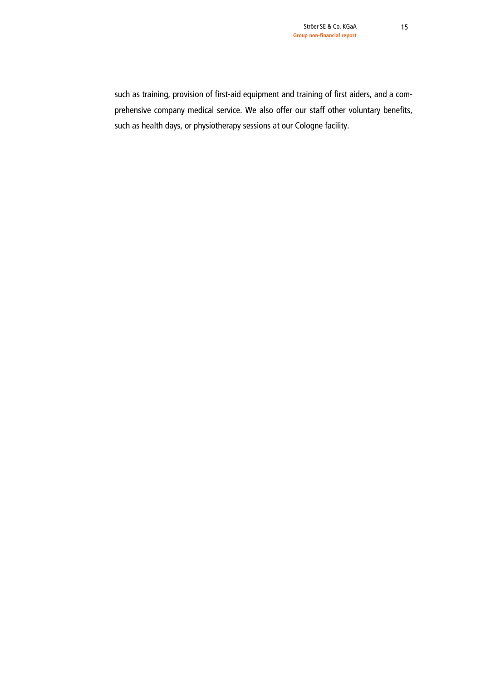such as training, provision of first-aid equipment and training of first aiders, and a comprehensive company medical service. We also offer our staff other voluntary benefits, such as health days, or physiotherapy sessions at our Cologne facility.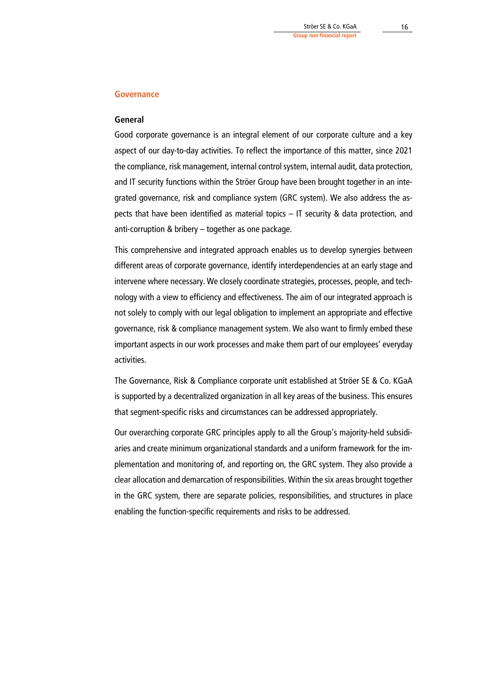#### **Governance**

## **General**

Good corporate governance is an integral element of our corporate culture and a key aspect of our day-to-day activities. To reflect the importance of this matter, since 2021 the compliance, risk management, internal control system, internal audit, data protection, and IT security functions within the Ströer Group have been brought together in an integrated governance, risk and compliance system (GRC system). We also address the aspects that have been identified as material topics – IT security & data protection, and anti-corruption & bribery – together as one package.

This comprehensive and integrated approach enables us to develop synergies between different areas of corporate governance, identify interdependencies at an early stage and intervene where necessary. We closely coordinate strategies, processes, people, and technology with a view to efficiency and effectiveness. The aim of our integrated approach is not solely to comply with our legal obligation to implement an appropriate and effective governance, risk & compliance management system. We also want to firmly embed these important aspects in our work processes and make them part of our employees' everyday activities.

The Governance, Risk & Compliance corporate unit established at Ströer SE & Co. KGaA is supported by a decentralized organization in all key areas of the business. This ensures that segment-specific risks and circumstances can be addressed appropriately.

Our overarching corporate GRC principles apply to all the Group's majority-held subsidiaries and create minimum organizational standards and a uniform framework for the implementation and monitoring of, and reporting on, the GRC system. They also provide a clear allocation and demarcation of responsibilities. Within the six areas brought together in the GRC system, there are separate policies, responsibilities, and structures in place enabling the function-specific requirements and risks to be addressed.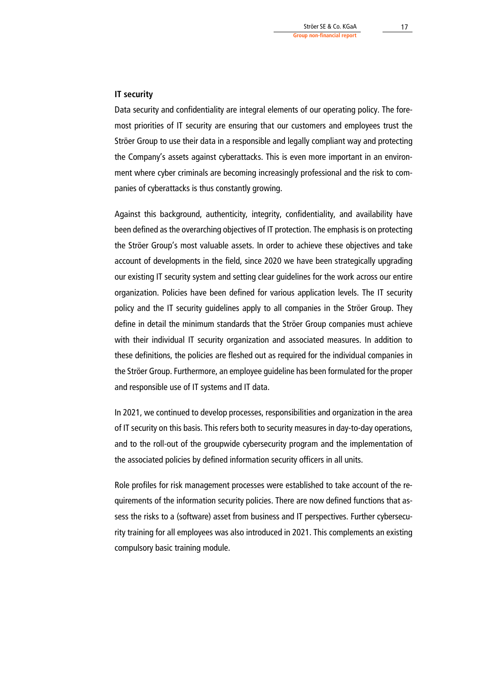### **IT security**

Data security and confidentiality are integral elements of our operating policy. The foremost priorities of IT security are ensuring that our customers and employees trust the Ströer Group to use their data in a responsible and legally compliant way and protecting the Company's assets against cyberattacks. This is even more important in an environment where cyber criminals are becoming increasingly professional and the risk to companies of cyberattacks is thus constantly growing.

Against this background, authenticity, integrity, confidentiality, and availability have been defined as the overarching objectives of IT protection. The emphasis is on protecting the Ströer Group's most valuable assets. In order to achieve these objectives and take account of developments in the field, since 2020 we have been strategically upgrading our existing IT security system and setting clear guidelines for the work across our entire organization. Policies have been defined for various application levels. The IT security policy and the IT security guidelines apply to all companies in the Ströer Group. They define in detail the minimum standards that the Ströer Group companies must achieve with their individual IT security organization and associated measures. In addition to these definitions, the policies are fleshed out as required for the individual companies in the Ströer Group. Furthermore, an employee guideline has been formulated for the proper and responsible use of IT systems and IT data.

In 2021, we continued to develop processes, responsibilities and organization in the area of IT security on this basis. This refers both to security measures in day-to-day operations, and to the roll-out of the groupwide cybersecurity program and the implementation of the associated policies by defined information security officers in all units.

Role profiles for risk management processes were established to take account of the requirements of the information security policies. There are now defined functions that assess the risks to a (software) asset from business and IT perspectives. Further cybersecurity training for all employees was also introduced in 2021. This complements an existing compulsory basic training module.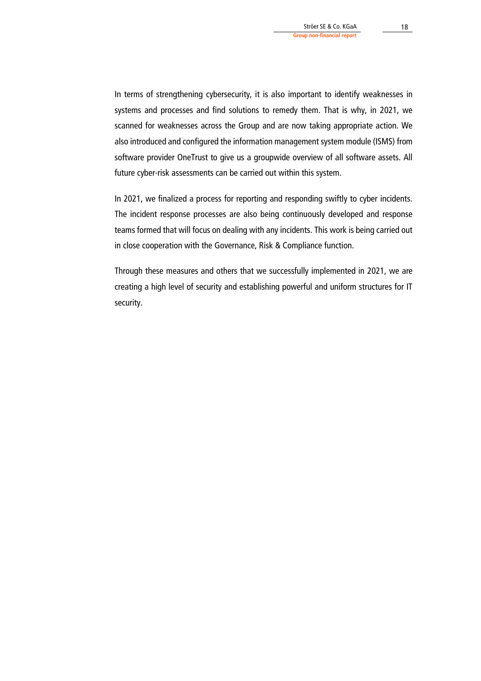In terms of strengthening cybersecurity, it is also important to identify weaknesses in systems and processes and find solutions to remedy them. That is why, in 2021, we scanned for weaknesses across the Group and are now taking appropriate action. We also introduced and configured the information management system module (ISMS) from software provider OneTrust to give us a groupwide overview of all software assets. All future cyber-risk assessments can be carried out within this system.

In 2021, we finalized a process for reporting and responding swiftly to cyber incidents. The incident response processes are also being continuously developed and response teams formed that will focus on dealing with any incidents. This work is being carried out in close cooperation with the Governance, Risk & Compliance function.

Through these measures and others that we successfully implemented in 2021, we are creating a high level of security and establishing powerful and uniform structures for IT security.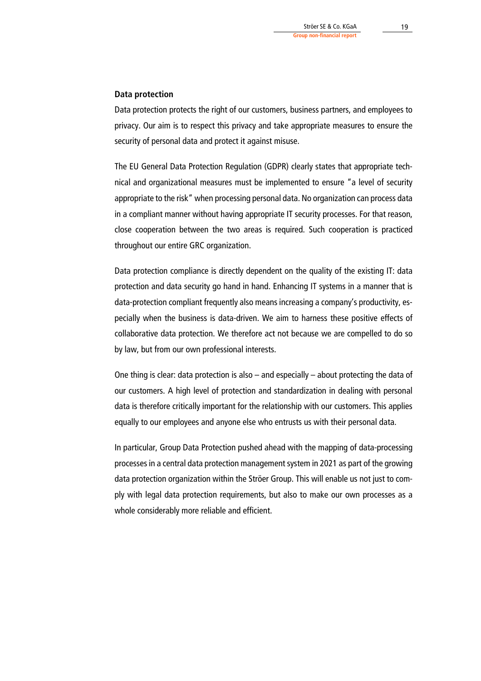#### **Data protection**

Data protection protects the right of our customers, business partners, and employees to privacy. Our aim is to respect this privacy and take appropriate measures to ensure the security of personal data and protect it against misuse.

The EU General Data Protection Regulation (GDPR) clearly states that appropriate technical and organizational measures must be implemented to ensure "a level of security appropriate to the risk" when processing personal data. No organization can process data in a compliant manner without having appropriate IT security processes. For that reason, close cooperation between the two areas is required. Such cooperation is practiced throughout our entire GRC organization.

Data protection compliance is directly dependent on the quality of the existing IT: data protection and data security go hand in hand. Enhancing IT systems in a manner that is data-protection compliant frequently also means increasing a company's productivity, especially when the business is data-driven. We aim to harness these positive effects of collaborative data protection. We therefore act not because we are compelled to do so by law, but from our own professional interests.

One thing is clear: data protection is also – and especially – about protecting the data of our customers. A high level of protection and standardization in dealing with personal data is therefore critically important for the relationship with our customers. This applies equally to our employees and anyone else who entrusts us with their personal data.

In particular, Group Data Protection pushed ahead with the mapping of data-processing processes in a central data protection management system in 2021 as part of the growing data protection organization within the Ströer Group. This will enable us not just to comply with legal data protection requirements, but also to make our own processes as a whole considerably more reliable and efficient.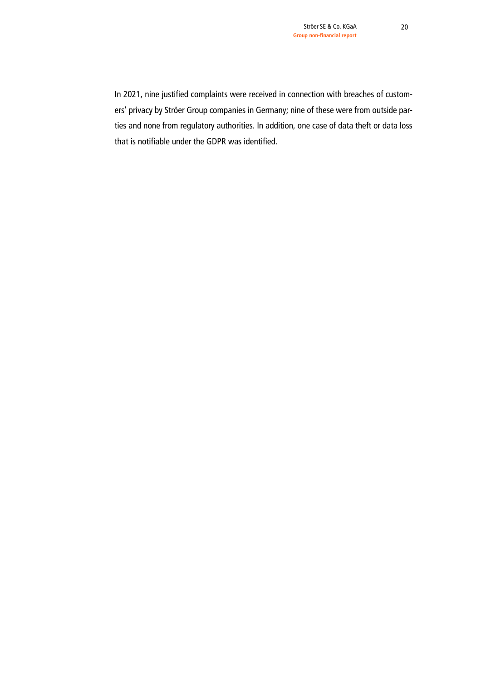In 2021, nine justified complaints were received in connection with breaches of customers' privacy by Ströer Group companies in Germany; nine of these were from outside parties and none from regulatory authorities. In addition, one case of data theft or data loss that is notifiable under the GDPR was identified.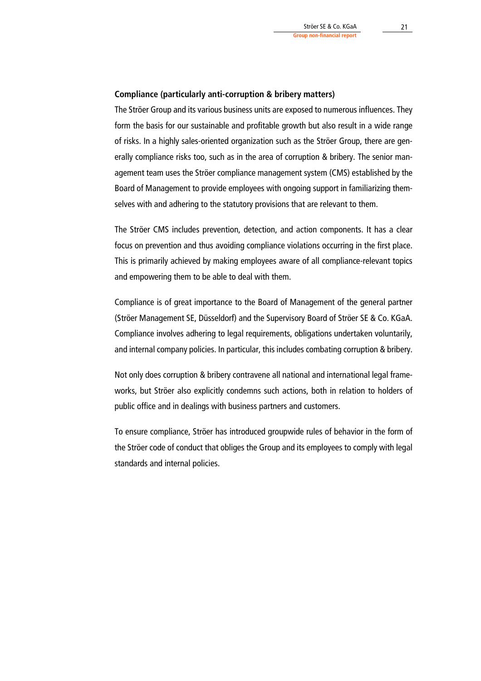#### **Compliance (particularly anti-corruption & bribery matters)**

The Ströer Group and its various business units are exposed to numerous influences. They form the basis for our sustainable and profitable growth but also result in a wide range of risks. In a highly sales-oriented organization such as the Ströer Group, there are generally compliance risks too, such as in the area of corruption & bribery. The senior management team uses the Ströer compliance management system (CMS) established by the Board of Management to provide employees with ongoing support in familiarizing themselves with and adhering to the statutory provisions that are relevant to them.

The Ströer CMS includes prevention, detection, and action components. It has a clear focus on prevention and thus avoiding compliance violations occurring in the first place. This is primarily achieved by making employees aware of all compliance-relevant topics and empowering them to be able to deal with them.

Compliance is of great importance to the Board of Management of the general partner (Ströer Management SE, Düsseldorf) and the Supervisory Board of Ströer SE & Co. KGaA. Compliance involves adhering to legal requirements, obligations undertaken voluntarily, and internal company policies. In particular, this includes combating corruption & bribery.

Not only does corruption & bribery contravene all national and international legal frameworks, but Ströer also explicitly condemns such actions, both in relation to holders of public office and in dealings with business partners and customers.

To ensure compliance, Ströer has introduced groupwide rules of behavior in the form of the Ströer code of conduct that obliges the Group and its employees to comply with legal standards and internal policies.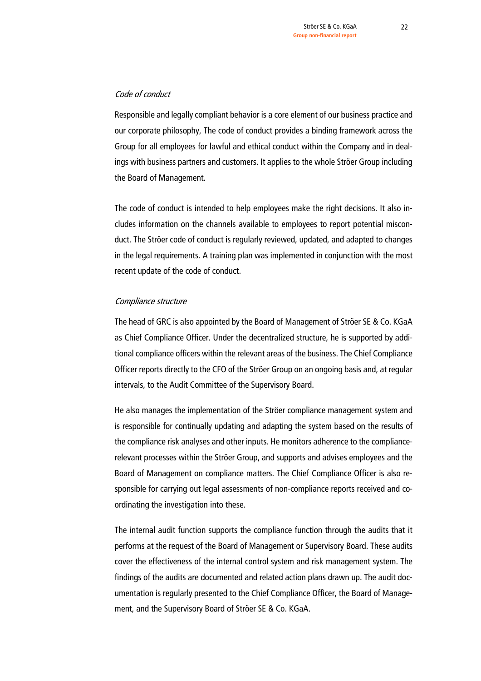# Code of conduct

Responsible and legally compliant behavior is a core element of our business practice and our corporate philosophy, The code of conduct provides a binding framework across the Group for all employees for lawful and ethical conduct within the Company and in dealings with business partners and customers. It applies to the whole Ströer Group including the Board of Management.

The code of conduct is intended to help employees make the right decisions. It also includes information on the channels available to employees to report potential misconduct. The Ströer code of conduct is regularly reviewed, updated, and adapted to changes in the legal requirements. A training plan was implemented in conjunction with the most recent update of the code of conduct.

#### Compliance structure

The head of GRC is also appointed by the Board of Management of Ströer SE & Co. KGaA as Chief Compliance Officer. Under the decentralized structure, he is supported by additional compliance officers within the relevant areas of the business. The Chief Compliance Officer reports directly to the CFO of the Ströer Group on an ongoing basis and, at regular intervals, to the Audit Committee of the Supervisory Board.

He also manages the implementation of the Ströer compliance management system and is responsible for continually updating and adapting the system based on the results of the compliance risk analyses and other inputs. He monitors adherence to the compliancerelevant processes within the Ströer Group, and supports and advises employees and the Board of Management on compliance matters. The Chief Compliance Officer is also responsible for carrying out legal assessments of non-compliance reports received and coordinating the investigation into these.

The internal audit function supports the compliance function through the audits that it performs at the request of the Board of Management or Supervisory Board. These audits cover the effectiveness of the internal control system and risk management system. The findings of the audits are documented and related action plans drawn up. The audit documentation is regularly presented to the Chief Compliance Officer, the Board of Management, and the Supervisory Board of Ströer SE & Co. KGaA.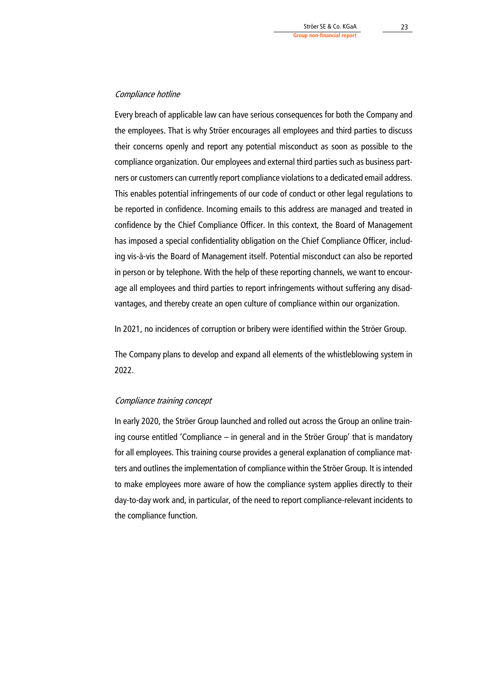# Compliance hotline

Every breach of applicable law can have serious consequences for both the Company and the employees. That is why Ströer encourages all employees and third parties to discuss their concerns openly and report any potential misconduct as soon as possible to the compliance organization. Our employees and external third parties such as business partners or customers can currently report compliance violations to a dedicated email address. This enables potential infringements of our code of conduct or other legal regulations to be reported in confidence. Incoming emails to this address are managed and treated in confidence by the Chief Compliance Officer. In this context, the Board of Management has imposed a special confidentiality obligation on the Chief Compliance Officer, including vis-à-vis the Board of Management itself. Potential misconduct can also be reported in person or by telephone. With the help of these reporting channels, we want to encourage all employees and third parties to report infringements without suffering any disadvantages, and thereby create an open culture of compliance within our organization.

In 2021, no incidences of corruption or bribery were identified within the Ströer Group.

The Company plans to develop and expand all elements of the whistleblowing system in 2022.

#### Compliance training concept

In early 2020, the Ströer Group launched and rolled out across the Group an online training course entitled 'Compliance – in general and in the Ströer Group' that is mandatory for all employees. This training course provides a general explanation of compliance matters and outlines the implementation of compliance within the Ströer Group. It is intended to make employees more aware of how the compliance system applies directly to their day-to-day work and, in particular, of the need to report compliance-relevant incidents to the compliance function.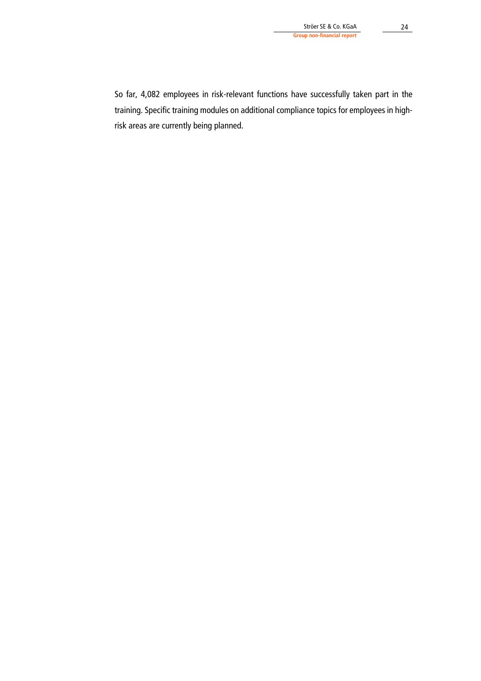So far, 4,082 employees in risk-relevant functions have successfully taken part in the training. Specific training modules on additional compliance topics for employees in highrisk areas are currently being planned.